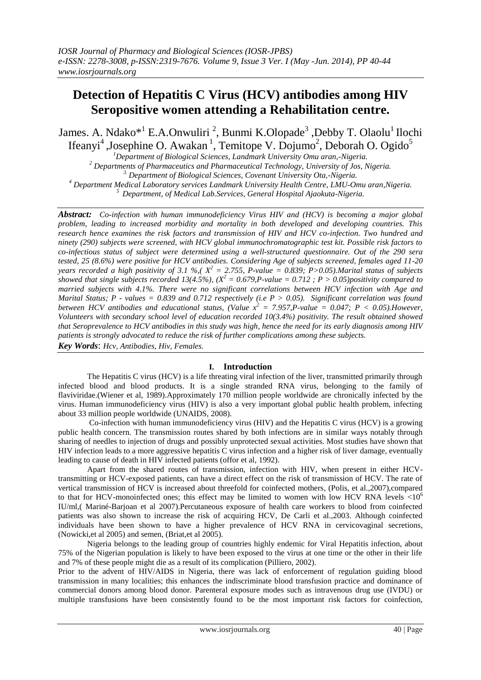# **Detection of Hepatitis C Virus (HCV) antibodies among HIV Seropositive women attending a Rehabilitation centre.**

James. A. Ndako<sup>\*1</sup> E.A.Onwuliri<sup>2</sup>, Bunmi K.Olopade<sup>3</sup>, Debby T. Olaolu<sup>1</sup> Ilochi Ifeanyi<sup>4</sup>, Josephine O. Awakan<sup>1</sup>, Temitope V. Dojumo<sup>2</sup>, Deborah O. Ogido<sup>5</sup>

*Department of Biological Sciences, Landmark University Omu aran,-Nigeria. Departments of Pharmaceutics and Pharmaceutical Technology, University of Jos, Nigeria. 3. Department of Biological Sciences, Covenant University Ota,-Nigeria. Department Medical Laboratory services Landmark University Health Centre, LMU-Omu aran,Nigeria. Department, of Medical Lab.Services, General Hospital Ajaokuta-Nigeria.*

*Abstract: Co-infection with human immunodeficiency Virus HIV and (HCV) is becoming a major global problem, leading to increased morbidity and mortality in both developed and developing countries. This research hence examines the risk factors and transmission of HIV and HCV co-infection. Two hundred and ninety (290) subjects were screened, with HCV global immunochromatographic test kit. Possible risk factors to co-infectious status of subject were determined using a well-structured questionnaire. Out of the 290 sera tested, 25 (8.6%) were positive for HCV antibodies. Considering Age of subjects screened, females aged 11-20 years recorded a high positivity of 3.1 %,*( $X^2 = 2.755$ , *P-value = 0.839; P>0.05).Marital status of subjects showed that single subjects recorded 13(4.5%), (X<sup>2</sup> = 0.679,P-value = 0.712 ; P > 0.05)positivity compared to married subjects with 4.1%. There were no significant correlations between HCV infection with Age and Marital Status; P - values = 0.839 and 0.712 respectively (i.e P > 0.05). Significant correlation was found between HCV antibodies and educational status, (Value*  $x^2 = 7.957$ *, P-value = 0.047;*  $P < 0.05$ ). However, *Volunteers with secondary school level of education recorded 10(3.4%) positivity. The result obtained showed that Seroprevalence to HCV antibodies in this study was high, hence the need for its early diagnosis among HIV patients is strongly advocated to reduce the risk of further complications among these subjects.*

*Key Words*: *Hcv, Antibodies, Hiv, Females.*

# **I. Introduction**

The Hepatitis C virus (HCV) is a life threating viral infection of the liver, transmitted primarily through infected blood and blood products. It is a single stranded RNA virus, belonging to the family of flaviviridae.(Wiener et al, 1989).Approximately 170 million people worldwide are chronically infected by the virus. Human immunodeficiency virus (HIV) is also a very important global public health problem, infecting about 33 million people worldwide (UNAIDS, 2008).

Co-infection with human immunodeficiency virus (HIV) and the Hepatitis C virus (HCV) is a growing public health concern. The transmission routes shared by both infections are in similar ways notably through sharing of needles to injection of drugs and possibly unprotected sexual activities. Most studies have shown that HIV infection leads to a more aggressive hepatitis C virus infection and a higher risk of liver damage, eventually leading to cause of death in HIV infected patients (offor et al, 1992).

Apart from the shared routes of transmission, infection with HIV, when present in either HCVtransmitting or HCV-exposed patients, can have a direct effect on the risk of transmission of HCV. The rate of vertical transmission of HCV is increased about threefold for coinfected mothers, (Polis, et al.,2007),compared to that for HCV-monoinfected ones; this effect may be limited to women with low HCV RNA levels  $\langle 10^6 \rangle$ IU/ml,( Mariné-Barjoan et al 2007).Percutaneous exposure of health care workers to blood from coinfected patients was also shown to increase the risk of acquiring HCV, De Carli et al.,2003. Although coinfected individuals have been shown to have a higher prevalence of HCV RNA in cervicovaginal secretions, (Nowicki,et al 2005) and semen, (Briat,et al 2005).

Nigeria belongs to the leading group of countries highly endemic for Viral Hepatitis infection, about 75% of the Nigerian population is likely to have been exposed to the virus at one time or the other in their life and 7% of these people might die as a result of its complication (Pilliero, 2002).

Prior to the advent of HIV/AIDS in Nigeria, there was lack of enforcement of regulation guiding blood transmission in many localities; this enhances the indiscriminate blood transfusion practice and dominance of commercial donors among blood donor. Parenteral exposure modes such as intravenous drug use (IVDU) or multiple transfusions have been consistently found to be the most important risk factors for coinfection,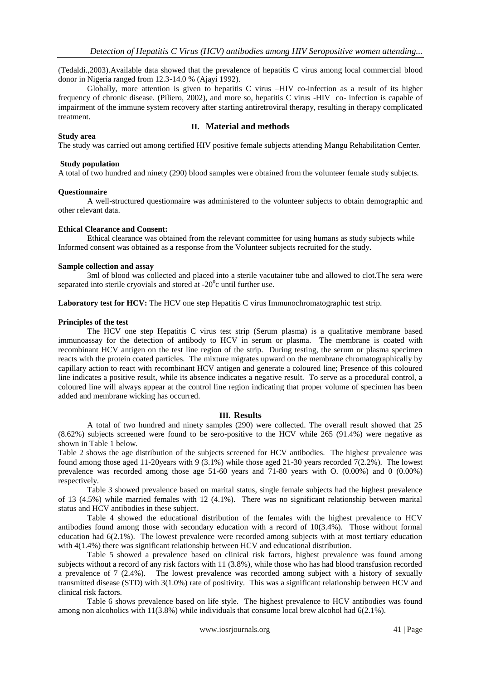(Tedaldi.,2003).Available data showed that the prevalence of hepatitis C virus among local commercial blood donor in Nigeria ranged from 12.3-14.0 % (Ajayi 1992).

Globally, more attention is given to hepatitis C virus –HIV co-infection as a result of its higher frequency of chronic disease. (Piliero, 2002), and more so, hepatitis C virus -HIV co- infection is capable of impairment of the immune system recovery after starting antiretroviral therapy, resulting in therapy complicated treatment.

# **II. Material and methods**

## **Study area**

The study was carried out among certified HIV positive female subjects attending Mangu Rehabilitation Center.

## **Study population**

A total of two hundred and ninety (290) blood samples were obtained from the volunteer female study subjects.

#### **Questionnaire**

A well-structured questionnaire was administered to the volunteer subjects to obtain demographic and other relevant data.

#### **Ethical Clearance and Consent:**

Ethical clearance was obtained from the relevant committee for using humans as study subjects while Informed consent was obtained as a response from the Volunteer subjects recruited for the study.

#### **Sample collection and assay**

3ml of blood was collected and placed into a sterile vacutainer tube and allowed to clot.The sera were separated into sterile cryovials and stored at  $-20^{\circ}$ c until further use.

Laboratory test for HCV: The HCV one step Hepatitis C virus Immunochromatographic test strip.

## **Principles of the test**

The HCV one step Hepatitis C virus test strip (Serum plasma) is a qualitative membrane based immunoassay for the detection of antibody to HCV in serum or plasma. The membrane is coated with recombinant HCV antigen on the test line region of the strip. During testing, the serum or plasma specimen reacts with the protein coated particles. The mixture migrates upward on the membrane chromatographically by capillary action to react with recombinant HCV antigen and generate a coloured line; Presence of this coloured line indicates a positive result, while its absence indicates a negative result. To serve as a procedural control, a coloured line will always appear at the control line region indicating that proper volume of specimen has been added and membrane wicking has occurred.

# **III. Results**

A total of two hundred and ninety samples (290) were collected. The overall result showed that 25 (8.62%) subjects screened were found to be sero-positive to the HCV while 265 (91.4%) were negative as shown in Table 1 below.

Table 2 shows the age distribution of the subjects screened for HCV antibodies. The highest prevalence was found among those aged 11-20years with 9 (3.1%) while those aged 21-30 years recorded 7(2.2%). The lowest prevalence was recorded among those age 51-60 years and 71-80 years with O. (0.00%) and 0 (0.00%) respectively.

Table 3 showed prevalence based on marital status, single female subjects had the highest prevalence of 13 (4.5%) while married females with 12 (4.1%). There was no significant relationship between marital status and HCV antibodies in these subject.

Table 4 showed the educational distribution of the females with the highest prevalence to HCV antibodies found among those with secondary education with a record of 10(3.4%). Those without formal education had 6(2.1%). The lowest prevalence were recorded among subjects with at most tertiary education with 4(1.4%) there was significant relationship between HCV and educational distribution.

Table 5 showed a prevalence based on clinical risk factors, highest prevalence was found among subjects without a record of any risk factors with 11 (3.8%), while those who has had blood transfusion recorded a prevalence of 7 (2.4%). The lowest prevalence was recorded among subject with a history of sexually transmitted disease (STD) with 3(1.0%) rate of positivity. This was a significant relationship between HCV and clinical risk factors.

Table 6 shows prevalence based on life style. The highest prevalence to HCV antibodies was found among non alcoholics with 11(3.8%) while individuals that consume local brew alcohol had 6(2.1%).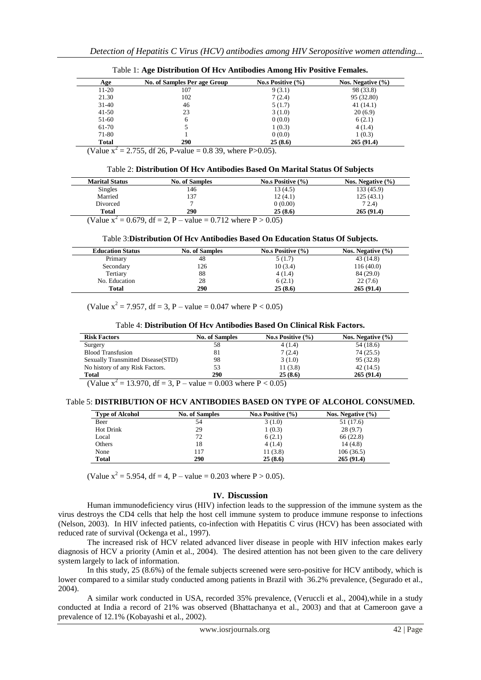| Age          | No. of Samples Per age Group | No.s Positive $(\% )$ | Nos. Negative $(\% )$ |
|--------------|------------------------------|-----------------------|-----------------------|
| $11 - 20$    | 107                          | 9(3.1)                | 98 (33.8)             |
| 21.30        | 102                          | 7(2.4)                | 95 (32.80)            |
| $31-40$      | 46                           | 5(1.7)                | 41(14.1)              |
| $41 - 50$    | 23                           | 3(1.0)                | 20(6.9)               |
| 51-60        | 6                            | 0(0.0)                | 6(2.1)                |
| 61-70        |                              | 1(0.3)                | 4(1.4)                |
| 71-80        |                              | 0(0.0)                | 1(0.3)                |
| <b>Total</b> | 290                          | 25(8.6)               | 265(91.4)             |

Table 1: **Age Distribution Of Hcv Antibodies Among Hiv Positive Females.**

(Value  $x^2 = 2.755$ , df 26, P-value = 0.8 39, where P>0.05).

**Marital Status No. of Samples No.s Positive (%) Nos. Negative (%)** Singles 146 146 13 (4.5) 133 (45.9) Married 137 12 (4.1) 125 (43.1) Divorced  $7$  0  $(0.00)$  7 2.4) **Total 290 25 (8.6) 265 (91.4)**

(Value  $x^2 = 0.679$ , df = 2, P – value = 0.712 where P > 0.05)

#### Table 3:**Distribution Of Hcv Antibodies Based On Education Status Of Subjects.**

| <b>Education Status</b> | <b>No. of Samples</b> | No.s Positive $(\% )$ | Nos. Negative $(\% )$ |
|-------------------------|-----------------------|-----------------------|-----------------------|
| Primary                 | 48                    | 5(1.7)                | 43 (14.8)             |
| Secondary               | 126                   | 10(3.4)               | 116(40.0)             |
| Tertiary                | 88                    | 4(1.4)                | 84 (29.0)             |
| No. Education           | 28                    | 6(2.1)                | 22(7.6)               |
| <b>Total</b>            | 290                   | 25(8.6)               | 265(91.4)             |

(Value  $x^2 = 7.957$ , df = 3, P – value = 0.047 where P < 0.05)

## Table 4: **Distribution Of Hcv Antibodies Based On Clinical Risk Factors.**

| <b>Risk Factors</b>                                                 | <b>No. of Samples</b> | No.s Positive $(\% )$ | Nos. Negative $(\% )$ |
|---------------------------------------------------------------------|-----------------------|-----------------------|-----------------------|
| Surgery                                                             | 58                    | 4(1.4)                | 54 (18.6)             |
| <b>Blood Transfusion</b>                                            | 81                    | 7(2.4)                | 74(25.5)              |
| Sexually Transmitted Disease (STD)                                  | 98                    | 3(1.0)                | 95(32.8)              |
| No history of any Risk Factors.                                     |                       | 11(3.8)               | 42 (14.5)             |
| <b>Total</b>                                                        | 290                   | 25(8.6)               | 265(91.4)             |
| $(N_{c1} N_{c1}$ 12.070. If 2. D $\ldots$ 1 0.002 L, D $\neq$ 0.05) |                       |                       |                       |

(Value  $x^2 = 13.970$ , df = 3, P – value = 0.003 where P < 0.05)

#### Table 5: **DISTRIBUTION OF HCV ANTIBODIES BASED ON TYPE OF ALCOHOL CONSUMED.**

| <b>Type of Alcohol</b> | <b>No. of Samples</b> | No.s Positive $(\% )$ | Nos. Negative $(\% )$ |
|------------------------|-----------------------|-----------------------|-----------------------|
| Beer                   | 54                    | 3(1.0)                | 51 (17.6)             |
| <b>Hot Drink</b>       | 29                    | 1(0.3)                | 28(9.7)               |
| Local                  | 72                    | 6(2.1)                | 66(22.8)              |
| Others                 | 18                    | 4(1.4)                | 14(4.8)               |
| None                   | 117                   | 11(3.8)               | 106(36.5)             |
| <b>Total</b>           | 290                   | 25(8.6)               | 265(91.4)             |

(Value  $x^2 = 5.954$ , df = 4, P – value = 0.203 where P > 0.05).

# **IV. Discussion**

Human immunodeficiency virus (HIV) infection leads to the suppression of the immune system as the virus destroys the CD4 cells that help the host cell immune system to produce immune response to infections (Nelson, 2003). In HIV infected patients, co-infection with Hepatitis C virus (HCV) has been associated with reduced rate of survival (Ockenga et al., 1997).

The increased risk of HCV related advanced liver disease in people with HIV infection makes early diagnosis of HCV a priority (Amin et al., 2004). The desired attention has not been given to the care delivery system largely to lack of information.

In this study, 25 (8.6%) of the female subjects screened were sero-positive for HCV antibody, which is lower compared to a similar study conducted among patients in Brazil with 36.2% prevalence, (Segurado et al., 2004).

A similar work conducted in USA, recorded 35% prevalence, (Veruccli et al., 2004),while in a study conducted at India a record of 21% was observed (Bhattachanya et al., 2003) and that at Cameroon gave a prevalence of 12.1% (Kobayashi et al., 2002).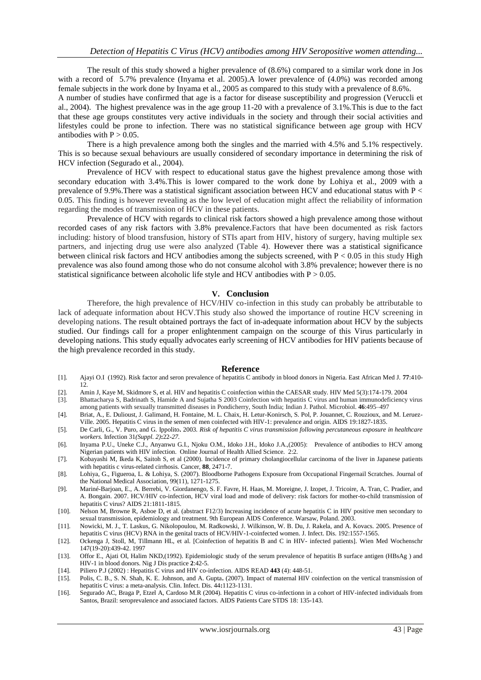The result of this study showed a higher prevalence of (8.6%) compared to a similar work done in Jos with a record of 5.7% prevalence (Invama et al. 2005). A lower prevalence of  $(4.0\%)$  was recorded among female subjects in the work done by Inyama et al., 2005 as compared to this study with a prevalence of 8.6%.

A number of studies have confirmed that age is a factor for disease susceptibility and progression (Veruccli et al., 2004). The highest prevalence was in the age group 11-20 with a prevalence of 3.1%.This is due to the fact that these age groups constitutes very active individuals in the society and through their social activities and lifestyles could be prone to infection. There was no statistical significance between age group with HCV antibodies with  $P > 0.05$ .

There is a high prevalence among both the singles and the married with 4.5% and 5.1% respectively. This is so because sexual behaviours are usually considered of secondary importance in determining the risk of HCV infection (Segurado et al., 2004).

Prevalence of HCV with respect to educational status gave the highest prevalence among those with secondary education with 3.4%.This is lower compared to the work done by Lohiya et al., 2009 with a prevalence of 9.9%.There was a statistical significant association between HCV and educational status with P < 0.05. This finding is however revealing as the low level of education might affect the reliability of information regarding the modes of transmission of HCV in these patients.

Prevalence of HCV with regards to clinical risk factors showed a high prevalence among those without recorded cases of any risk factors with 3.8% prevalence.Factors that have been documented as risk factors including: history of blood transfusion, history of STIs apart from HIV, history of surgery, having multiple sex partners, and injecting drug use were also analyzed (Table 4). However there was a statistical significance between clinical risk factors and HCV antibodies among the subjects screened, with  $P < 0.05$  in this study High prevalence was also found among those who do not consume alcohol with 3.8% prevalence; however there is no statistical significance between alcoholic life style and HCV antibodies with  $P > 0.05$ .

#### **V. Conclusion**

Therefore, the high prevalence of HCV/HIV co-infection in this study can probably be attributable to lack of adequate information about HCV.This study also showed the importance of routine HCV screening in developing nations. The result obtained portrays the fact of in-adequate information about HCV by the subjects studied. Our findings call for a proper enlightenment campaign on the scourge of this Virus particularly in developing nations. This study equally advocates early screening of HCV antibodies for HIV patients because of the high prevalence recorded in this study.

#### **Reference**

- [1]. Ajayi O.I (1992). Risk factor and seron prevalence of hepatitis C antibody in blood donors in Nigeria. East African Med J. **77**:410- 12.
- [2]. Amin J, Kaye M, Skidmore S, et al. HIV and hepatitis C coinfection within the CAESAR study. HIV Med 5(3):174-179. 2004
- [3]. Bhattacharya S, Badrinath S, Hamide A and Sujatha S 2003 Coinfection with hepatitis C virus and human immunodeficiency virus among patients with sexually transmitted diseases in Pondicherry, South India; Indian J. Pathol. Microbiol. **46**:495–497
- [4]. Briat, A., E. Dulioust, J. Galimand, H. Fontaine, M. L. Chaix, H. Letur-Konirsch, S. Pol, P. Jouannet, C. Rouzioux, and M. Leruez-Ville. 2005. Hepatitis C virus in the semen of men coinfected with HIV-1: prevalence and origin. AIDS 19:1827-1835.
- [5]. De Carli, G., V. Puro, and G. Ippolito**.** 2003*. Risk of hepatitis C virus transmission following percutaneous exposure in healthcare workers.* Infection 31*(Suppl. 2)***:**22*-27.*
- [6]. Inyama P.U., Uneke C.J., Anyanwu G.I., Njoku O.M., Idoko J.H., Idoko J.A.,(2005): Prevalence of antibodies to HCV among Nigerian patients with HIV infection. Online Journal of Health Allied Science. 2:2.
- [7]. Kobayashi M, Ikeda K, Saitoh S, et al (2000). Incidence of primary cholangiocellular carcinoma of the liver in Japanese patients with hepatitis c virus-related cirrhosis. Cancer, **88**, 2471-7.
- [8]. Lohiya, G., Figueroa, L. & Lohiya, S. (2007). Bloodborne Pathogens Exposure from Occupational Fingernail Scratches. Journal of the National Medical Association, 99(11), 1271-1275.
- [9]. Mariné-Barjoan, E., A. Berrebi, V. Giordanengo, S. F. Favre, H. Haas, M. Moreigne, J. Izopet, J. Tricoire, A. Tran, C. Pradier, and A. Bongain. 2007. HCV/HIV co-infection, HCV viral load and mode of delivery: risk factors for mother-to-child transmission of hepatitis C virus? AIDS 21:1811-1815.
- [10]. Nelson M, Browne R, Asboe D, et al. (abstract F12/3) Increasing incidence of acute hepatitis C in HIV positive men secondary to sexual transmission, epidemiology and treatment. 9th European AIDS Conference. Warsaw, Poland. 2003.
- [11]. Nowicki, M. J., T. Laskus, G. Nikolopoulou, M. Radkowski, J. Wilkinson, W. B. Du, J. Rakela, and A. Kovacs. 2005. Presence of hepatitis C virus (HCV) RNA in the genital tracts of HCV/HIV-1-coinfected women. J. Infect. Dis. 192:1557-1565.
- [12]. Ockenga J, Stoll, M, Tillmann HL, et al. [Coinfection of hepatitis B and C in HIV- infected patients]. Wien Med Wochenschr 147(19-20):439-42. 1997
- [13]. Offor E., Ajati OI, Halim NKD,(1992). Epidemiologic study of the serum prevalence of hepatitis B surface antigen (HBsAg ) and HIV-1 in blood donors. Nig J Dis practice **2**:42-5.
- [14]. Piliero P.J (2002) : Hepatitis C virus and HIV co-infection. AIDS READ **443** (4): 448-51.
- [15]. Polis, C. B., S. N. Shah, K. E. Johnson, and A. Gupta**.** (2007). Impact of maternal HIV coinfection on the vertical transmission of hepatitis C virus: a meta-analysis. Clin. Infect. Dis. 44**:**1123-1131.
- [16]. Segurado AC, Braga P, Etzel A, Cardoso M.R (2004). Hepatitis C virus co-infectionn in a cohort of HIV-infected individuals from Santos, Brazil: seroprevalence and associated factors. AIDS Patients Care STDS 18: 135-143.